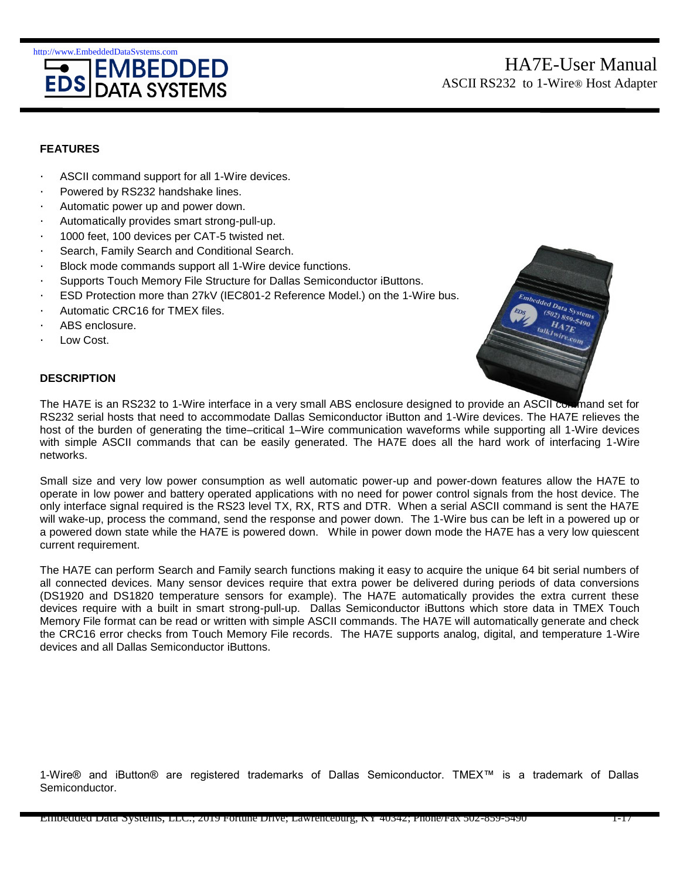http://www.EmbeddedDataSystems.com<br> **EMBEDDED** 

# HA7E-User Manual

ASCII RS232 to 1-Wire® Host Adapter

#### **FEATURES**

ASCII command support for all 1-Wire devices.

**DATA SYSTEMS** 

- Powered by RS232 handshake lines.
- Automatic power up and power down.
- · Automatically provides smart strong-pull-up.
- 1000 feet, 100 devices per CAT-5 twisted net.
- Search, Family Search and Conditional Search.
- Block mode commands support all 1-Wire device functions.
- Supports Touch Memory File Structure for Dallas Semiconductor iButtons.
- ESD Protection more than 27kV (IEC801-2 Reference Model.) on the 1-Wire bus.
- Automatic CRC16 for TMEX files.
- ABS enclosure.
- Low Cost.



#### **DESCRIPTION**

The HA7E is an RS232 to 1-Wire interface in a very small ABS enclosure designed to provide an ASCII command set for RS232 serial hosts that need to accommodate Dallas Semiconductor iButton and 1-Wire devices. The HA7E relieves the host of the burden of generating the time–critical 1–Wire communication waveforms while supporting all 1-Wire devices with simple ASCII commands that can be easily generated. The HA7E does all the hard work of interfacing 1-Wire networks.

Small size and very low power consumption as well automatic power-up and power-down features allow the HA7E to operate in low power and battery operated applications with no need for power control signals from the host device. The only interface signal required is the RS23 level TX, RX, RTS and DTR. When a serial ASCII command is sent the HA7E will wake-up, process the command, send the response and power down. The 1-Wire bus can be left in a powered up or a powered down state while the HA7E is powered down. While in power down mode the HA7E has a very low quiescent current requirement.

The HA7E can perform Search and Family search functions making it easy to acquire the unique 64 bit serial numbers of all connected devices. Many sensor devices require that extra power be delivered during periods of data conversions (DS1920 and DS1820 temperature sensors for example). The HA7E automatically provides the extra current these devices require with a built in smart strong-pull-up. Dallas Semiconductor iButtons which store data in TMEX Touch Memory File format can be read or written with simple ASCII commands. The HA7E will automatically generate and check the CRC16 error checks from Touch Memory File records. The HA7E supports analog, digital, and temperature 1-Wire devices and all Dallas Semiconductor iButtons.

1-Wire® and iButton® are registered trademarks of Dallas Semiconductor. TMEX™ is a trademark of Dallas Semiconductor.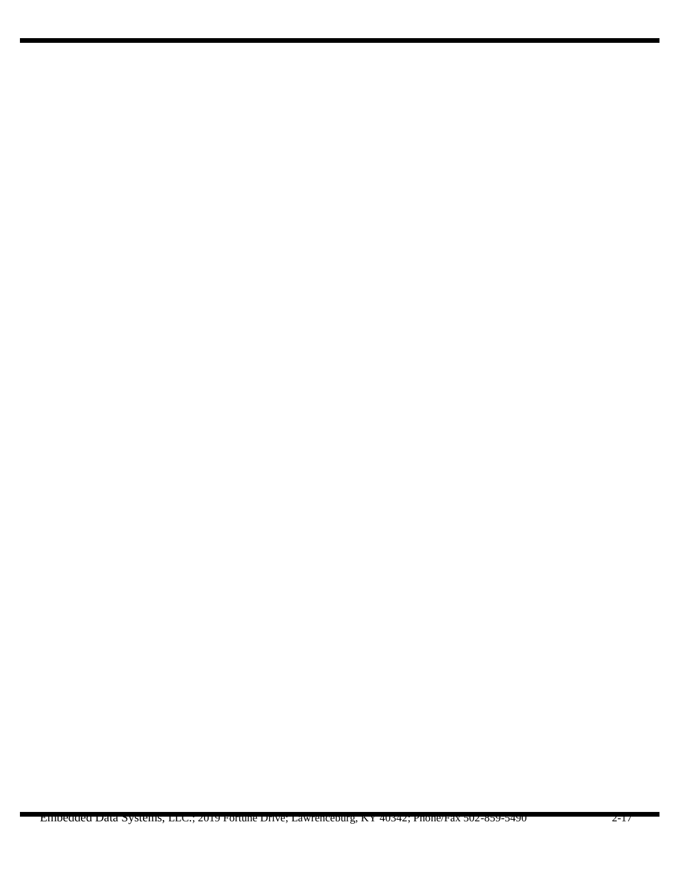i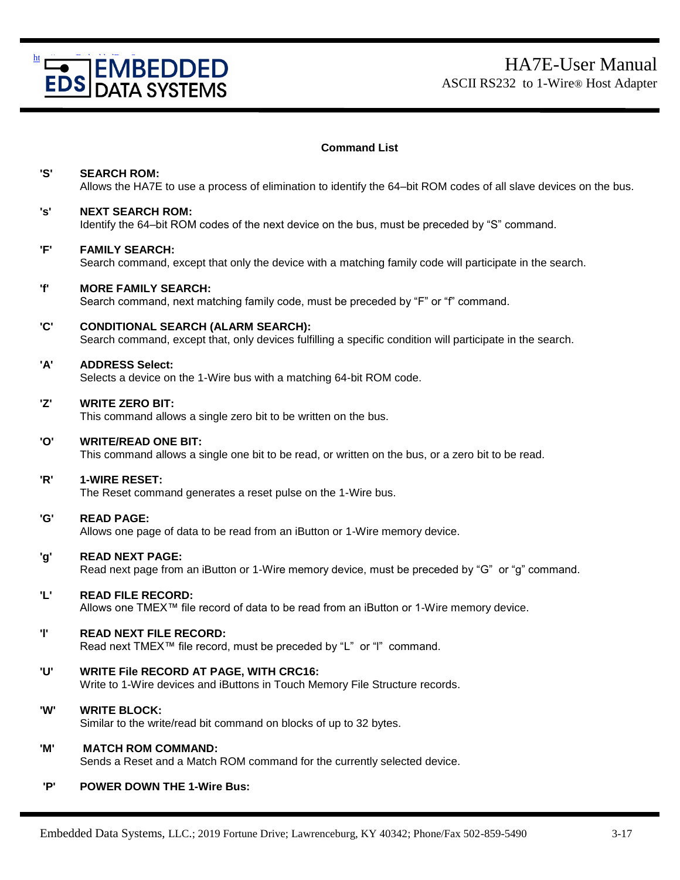# **HEMBEDDED**<br>EDS DATA SYSTEMS

## HA7E-User Manual

ASCII RS232 to 1-Wire® Host Adapter

#### **Command List**

### **'S' SEARCH ROM:**  Allows the HA7E to use a process of elimination to identify the 64–bit ROM codes of all slave devices on the bus. **'s' NEXT SEARCH ROM:**  Identify the 64–bit ROM codes of the next device on the bus, must be preceded by "S" command. **'F' FAMILY SEARCH:** Search command, except that only the device with a matching family code will participate in the search. **'f' MORE FAMILY SEARCH:** Search command, next matching family code, must be preceded by "F" or "f" command. **'C' CONDITIONAL SEARCH (ALARM SEARCH):** Search command, except that, only devices fulfilling a specific condition will participate in the search. **'A' ADDRESS Select:** Selects a device on the 1-Wire bus with a matching 64-bit ROM code. **'Z' WRITE ZERO BIT:** This command allows a single zero bit to be written on the bus. **'O' WRITE/READ ONE BIT:** This command allows a single one bit to be read, or written on the bus, or a zero bit to be read. **'R' 1-WIRE RESET:** The Reset command generates a reset pulse on the 1-Wire bus. **'G' READ PAGE:** Allows one page of data to be read from an iButton or 1-Wire memory device. **'g' READ NEXT PAGE:** Read next page from an iButton or 1-Wire memory device, must be preceded by "G" or "g" command. **'L' READ FILE RECORD:** Allows one TMEX™ file record of data to be read from an iButton or 1-Wire memory device. **'l' READ NEXT FILE RECORD:** Read next TMEX<sup>™</sup> file record, must be preceded by "L" or "l" command. **'U' WRITE File RECORD AT PAGE, WITH CRC16:** Write to 1-Wire devices and iButtons in Touch Memory File Structure records. **'W' WRITE BLOCK:** Similar to the write/read bit command on blocks of up to 32 bytes. **'M' MATCH ROM COMMAND:** Sends a Reset and a Match ROM command for the currently selected device. **'P' POWER DOWN THE 1-Wire Bus:**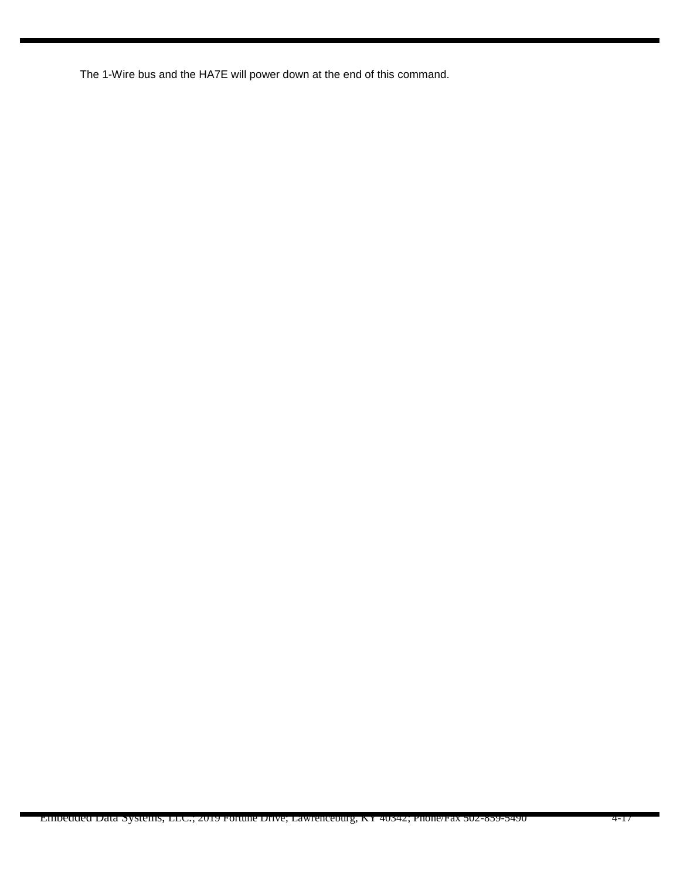The 1-Wire bus and the HA7E will power down at the end of this command.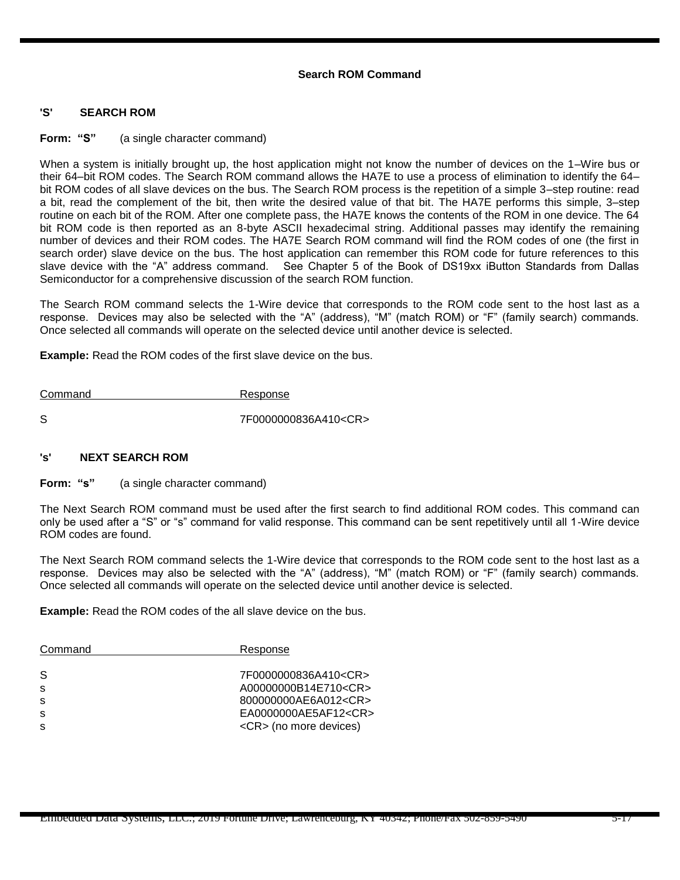#### **Search ROM Command**

#### **'S' SEARCH ROM**

#### **Form: "S"** (a single character command)

When a system is initially brought up, the host application might not know the number of devices on the 1–Wire bus or their 64–bit ROM codes. The Search ROM command allows the HA7E to use a process of elimination to identify the 64– bit ROM codes of all slave devices on the bus. The Search ROM process is the repetition of a simple 3–step routine: read a bit, read the complement of the bit, then write the desired value of that bit. The HA7E performs this simple, 3–step routine on each bit of the ROM. After one complete pass, the HA7E knows the contents of the ROM in one device. The 64 bit ROM code is then reported as an 8-byte ASCII hexadecimal string. Additional passes may identify the remaining number of devices and their ROM codes. The HA7E Search ROM command will find the ROM codes of one (the first in search order) slave device on the bus. The host application can remember this ROM code for future references to this slave device with the "A" address command. See Chapter 5 of the Book of DS19xx iButton Standards from Dallas Semiconductor for a comprehensive discussion of the search ROM function.

The Search ROM command selects the 1-Wire device that corresponds to the ROM code sent to the host last as a response. Devices may also be selected with the "A" (address), "M" (match ROM) or "F" (family search) commands. Once selected all commands will operate on the selected device until another device is selected.

**Example:** Read the ROM codes of the first slave device on the bus.

Command Response

S 7F0000000836A410<CR>

#### **'s' NEXT SEARCH ROM**

**Form: "s"** (a single character command)

The Next Search ROM command must be used after the first search to find additional ROM codes. This command can only be used after a "S" or "s" command for valid response. This command can be sent repetitively until all 1-Wire device ROM codes are found.

The Next Search ROM command selects the 1-Wire device that corresponds to the ROM code sent to the host last as a response. Devices may also be selected with the "A" (address), "M" (match ROM) or "F" (family search) commands. Once selected all commands will operate on the selected device until another device is selected.

**Example:** Read the ROM codes of the all slave device on the bus.

| Command        | Response                                                 |
|----------------|----------------------------------------------------------|
| -S<br><b>S</b> | 7F0000000836A410 <cr><br/>A00000000B14E710<cr></cr></cr> |
| S.             | 800000000AE6A012 <cr></cr>                               |
| <b>S</b>       | EA0000000AE5AF12 <cr></cr>                               |
|                | <cr> (no more devices)</cr>                              |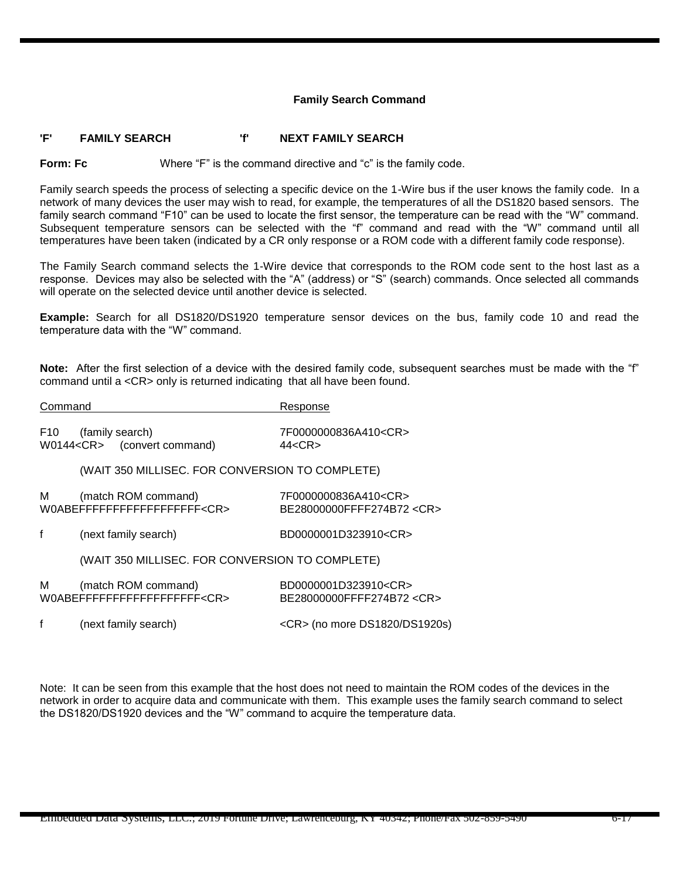#### **Family Search Command**

#### **'F' FAMILY SEARCH 'f' NEXT FAMILY SEARCH**

**Form: Fc** Where "F" is the command directive and "c" is the family code.

Family search speeds the process of selecting a specific device on the 1-Wire bus if the user knows the family code. In a network of many devices the user may wish to read, for example, the temperatures of all the DS1820 based sensors. The family search command "F10" can be used to locate the first sensor, the temperature can be read with the "W" command. Subsequent temperature sensors can be selected with the "f" command and read with the "W" command until all temperatures have been taken (indicated by a CR only response or a ROM code with a different family code response).

The Family Search command selects the 1-Wire device that corresponds to the ROM code sent to the host last as a response. Devices may also be selected with the "A" (address) or "S" (search) commands. Once selected all commands will operate on the selected device until another device is selected.

**Example:** Search for all DS1820/DS1920 temperature sensor devices on the bus, family code 10 and read the temperature data with the "W" command.

**Note:** After the first selection of a device with the desired family code, subsequent searches must be made with the "f" command until a <CR> only is returned indicating that all have been found.

| Command |                                                          | Response                                                                |  |  |  |
|---------|----------------------------------------------------------|-------------------------------------------------------------------------|--|--|--|
| F10     | (family search)<br>W0144 <cr> (convert command)</cr>     | 7F0000000836A410 <cr><br/><math>44 &lt; C</math>R<math>&gt;</math></cr> |  |  |  |
|         | (WAIT 350 MILLISEC. FOR CONVERSION TO COMPLETE)          |                                                                         |  |  |  |
| M       | (match ROM command)<br>WOABEFFFFFFFFFFFFFFFFFF <cr></cr> | 7F0000000836A410 <cr><br/>BE28000000FFFF274B72<cr></cr></cr>            |  |  |  |
| f       | (next family search)                                     | BD0000001D323910 <cr></cr>                                              |  |  |  |
|         | (WAIT 350 MILLISEC. FOR CONVERSION TO COMPLETE)          |                                                                         |  |  |  |
| M       | (match ROM command)<br>WOABEFFFFFFFFFFFFFFFFFF <cr></cr> | BD0000001D323910 <cr><br/>BE28000000FFFF274B72<cr></cr></cr>            |  |  |  |
| f       | (next family search)                                     | <cr> (no more DS1820/DS1920s)</cr>                                      |  |  |  |

Note: It can be seen from this example that the host does not need to maintain the ROM codes of the devices in the network in order to acquire data and communicate with them. This example uses the family search command to select the DS1820/DS1920 devices and the "W" command to acquire the temperature data.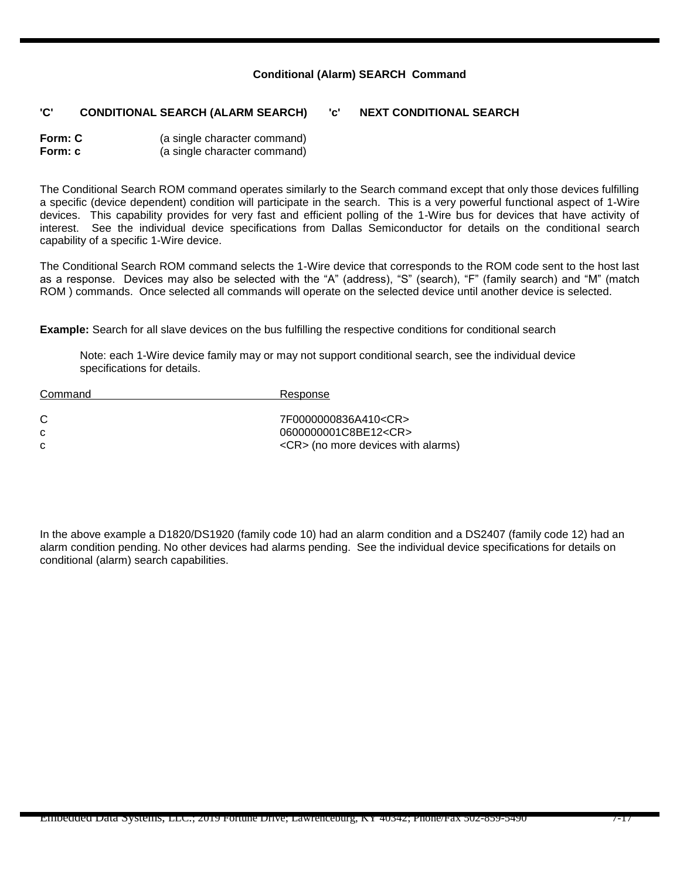#### **Conditional (Alarm) SEARCH Command**

#### **'C' CONDITIONAL SEARCH (ALARM SEARCH) 'c' NEXT CONDITIONAL SEARCH**

**Form: C** (a single character command) **Form: c** (a single character command)

The Conditional Search ROM command operates similarly to the Search command except that only those devices fulfilling a specific (device dependent) condition will participate in the search. This is a very powerful functional aspect of 1-Wire devices. This capability provides for very fast and efficient polling of the 1-Wire bus for devices that have activity of interest. See the individual device specifications from Dallas Semiconductor for details on the conditional search capability of a specific 1-Wire device.

The Conditional Search ROM command selects the 1-Wire device that corresponds to the ROM code sent to the host last as a response. Devices may also be selected with the "A" (address), "S" (search), "F" (family search) and "M" (match ROM ) commands. Once selected all commands will operate on the selected device until another device is selected.

**Example:** Search for all slave devices on the bus fulfilling the respective conditions for conditional search

Note: each 1-Wire device family may or may not support conditional search, see the individual device specifications for details.

| Command | Response                                           |
|---------|----------------------------------------------------|
| C       | 7F0000000836A410 <cr></cr>                         |
| C       | 0600000001C8BE12 <cr></cr>                         |
| C       | $\langle CR \rangle$ (no more devices with alarms) |

In the above example a D1820/DS1920 (family code 10) had an alarm condition and a DS2407 (family code 12) had an alarm condition pending. No other devices had alarms pending. See the individual device specifications for details on conditional (alarm) search capabilities.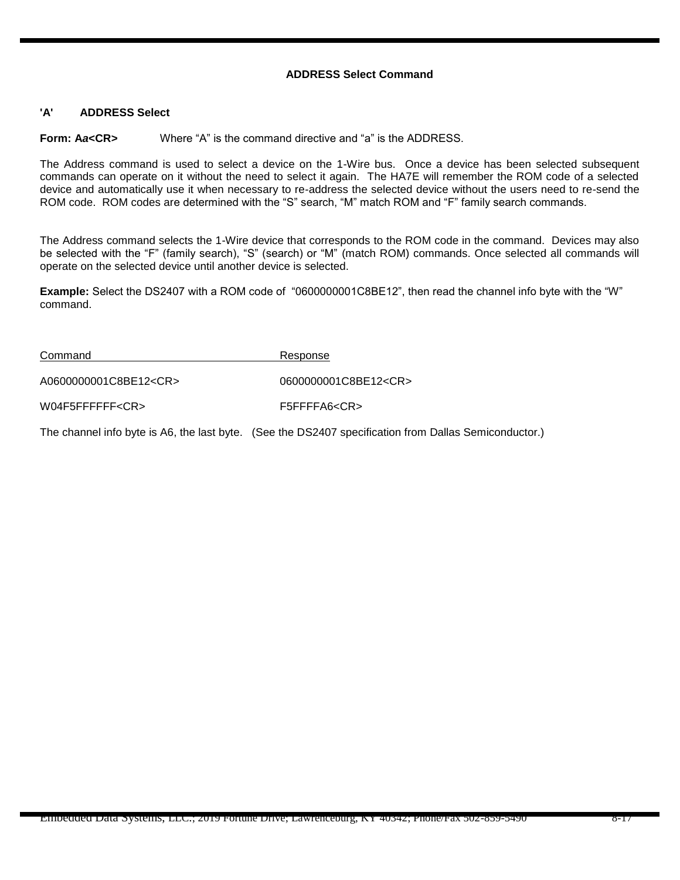#### **ADDRESS Select Command**

#### **'A' ADDRESS Select**

**Form: A***a***<CR>** Where "A" is the command directive and "a" is the ADDRESS.

The Address command is used to select a device on the 1-Wire bus. Once a device has been selected subsequent commands can operate on it without the need to select it again. The HA7E will remember the ROM code of a selected device and automatically use it when necessary to re-address the selected device without the users need to re-send the ROM code. ROM codes are determined with the "S" search, "M" match ROM and "F" family search commands.

The Address command selects the 1-Wire device that corresponds to the ROM code in the command. Devices may also be selected with the "F" (family search), "S" (search) or "M" (match ROM) commands. Once selected all commands will operate on the selected device until another device is selected.

**Example:** Select the DS2407 with a ROM code of "0600000001C8BE12", then read the channel info byte with the "W" command.

| Command                     | Response                   |
|-----------------------------|----------------------------|
| A0600000001C8BE12 <cr></cr> | 0600000001C8BE12 <cr></cr> |
| $W04F5FFFFFF5$ CR>          | F5FFFFA6 <cr></cr>         |

The channel info byte is A6, the last byte. (See the DS2407 specification from Dallas Semiconductor.)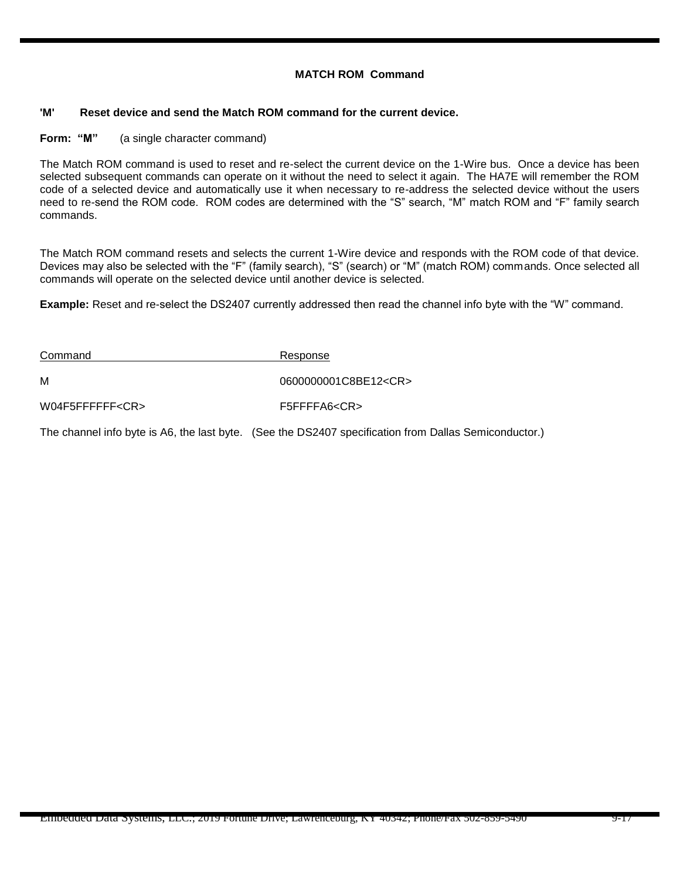#### **MATCH ROM Command**

#### **'M' Reset device and send the Match ROM command for the current device.**

#### **Form: "M"** (a single character command)

The Match ROM command is used to reset and re-select the current device on the 1-Wire bus. Once a device has been selected subsequent commands can operate on it without the need to select it again. The HA7E will remember the ROM code of a selected device and automatically use it when necessary to re-address the selected device without the users need to re-send the ROM code. ROM codes are determined with the "S" search, "M" match ROM and "F" family search commands.

The Match ROM command resets and selects the current 1-Wire device and responds with the ROM code of that device. Devices may also be selected with the "F" (family search), "S" (search) or "M" (match ROM) commands. Once selected all commands will operate on the selected device until another device is selected.

**Example:** Reset and re-select the DS2407 currently addressed then read the channel info byte with the "W" command.

| Command | Response |
|---------|----------|
|         |          |

M 0600000001C8BE12<CR>

W04F5FFFFFF<CR>FFFFF<CR>FFFFA6<CR>

The channel info byte is A6, the last byte. (See the DS2407 specification from Dallas Semiconductor.)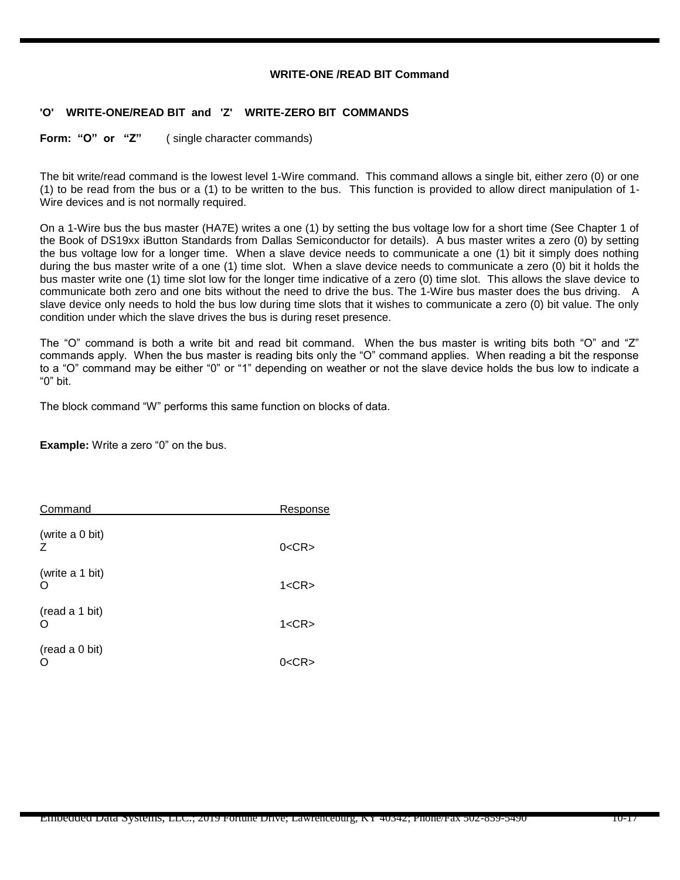#### **WRITE-ONE /READ BIT Command**

#### **'O' WRITE-ONE/READ BIT and 'Z' WRITE-ZERO BIT COMMANDS**

**Form: "O" or "Z"** ( single character commands)

The bit write/read command is the lowest level 1-Wire command. This command allows a single bit, either zero (0) or one (1) to be read from the bus or a (1) to be written to the bus. This function is provided to allow direct manipulation of 1- Wire devices and is not normally required.

On a 1-Wire bus the bus master (HA7E) writes a one (1) by setting the bus voltage low for a short time (See Chapter 1 of the Book of DS19xx iButton Standards from Dallas Semiconductor for details). A bus master writes a zero (0) by setting the bus voltage low for a longer time. When a slave device needs to communicate a one (1) bit it simply does nothing during the bus master write of a one (1) time slot. When a slave device needs to communicate a zero (0) bit it holds the bus master write one (1) time slot low for the longer time indicative of a zero (0) time slot. This allows the slave device to communicate both zero and one bits without the need to drive the bus. The 1-Wire bus master does the bus driving. A slave device only needs to hold the bus low during time slots that it wishes to communicate a zero (0) bit value. The only condition under which the slave drives the bus is during reset presence.

The "O" command is both a write bit and read bit command. When the bus master is writing bits both "O" and "Z" commands apply. When the bus master is reading bits only the "O" command applies. When reading a bit the response to a "O" command may be either "0" or "1" depending on weather or not the slave device holds the bus low to indicate a "0" bit.

The block command "W" performs this same function on blocks of data.

**Example:** Write a zero "0" on the bus.

| Command              | Response |
|----------------------|----------|
| (write a 0 bit)<br>Z | 0 < CR   |
| (write a 1 bit)<br>റ | 1 < CR   |
| (read a 1 bit)<br>റ  | 1 < CR   |
| (read a 0 bit)       | ()حل     |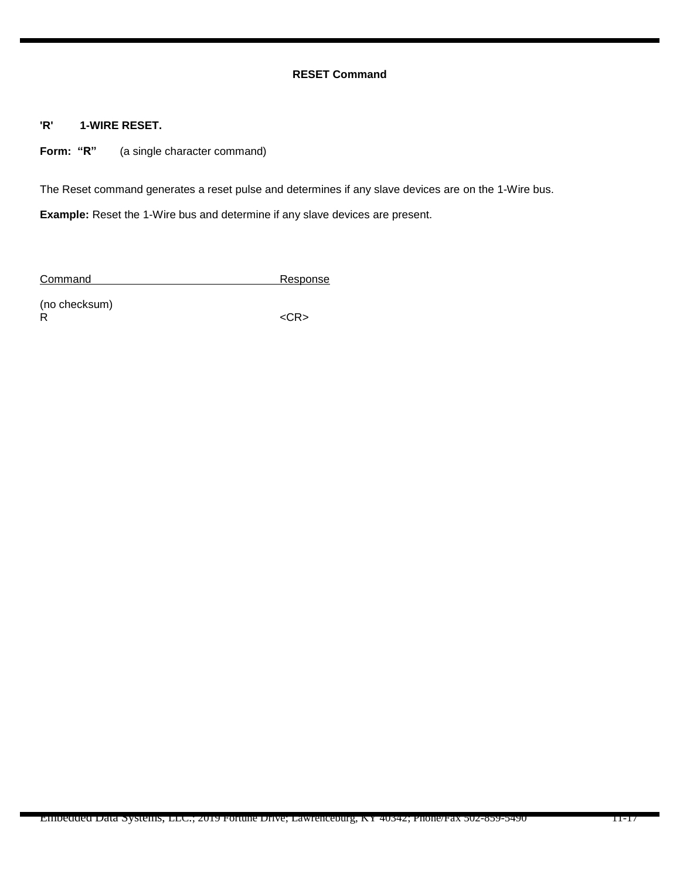#### **RESET Command**

**'R' 1-WIRE RESET.**

**Form: "R"** (a single character command)

The Reset command generates a reset pulse and determines if any slave devices are on the 1-Wire bus.

**Example:** Reset the 1-Wire bus and determine if any slave devices are present.

Command Response

(no checksum) R <CR>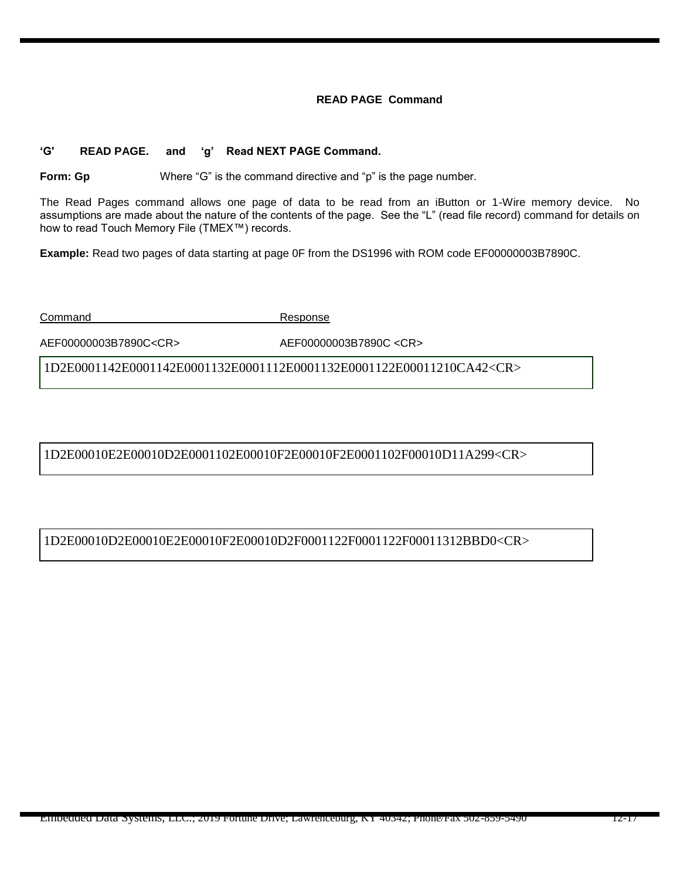#### **READ PAGE Command**

#### **"G' READ PAGE. and "g" Read NEXT PAGE Command.**

**Form:** Gp Where "G" is the command directive and "p" is the page number.

The Read Pages command allows one page of data to be read from an iButton or 1-Wire memory device. No assumptions are made about the nature of the contents of the page. See the "L" (read file record) command for details on how to read Touch Memory File (TMEX™) records.

**Example:** Read two pages of data starting at page 0F from the DS1996 with ROM code EF00000003B7890C.

Command Response

AEF00000003B7890C<CR> AEF00000003B7890C <CR>

1D2E0001142E0001142E0001132E0001112E0001132E0001122E00011210CA42<CR>

1D2E00010E2E00010D2E0001102E00010F2E00010F2E0001102F00010D11A299<CR>

## 1D2E00010D2E00010E2E00010F2E00010D2F0001122F0001122F00011312BBD0<CR>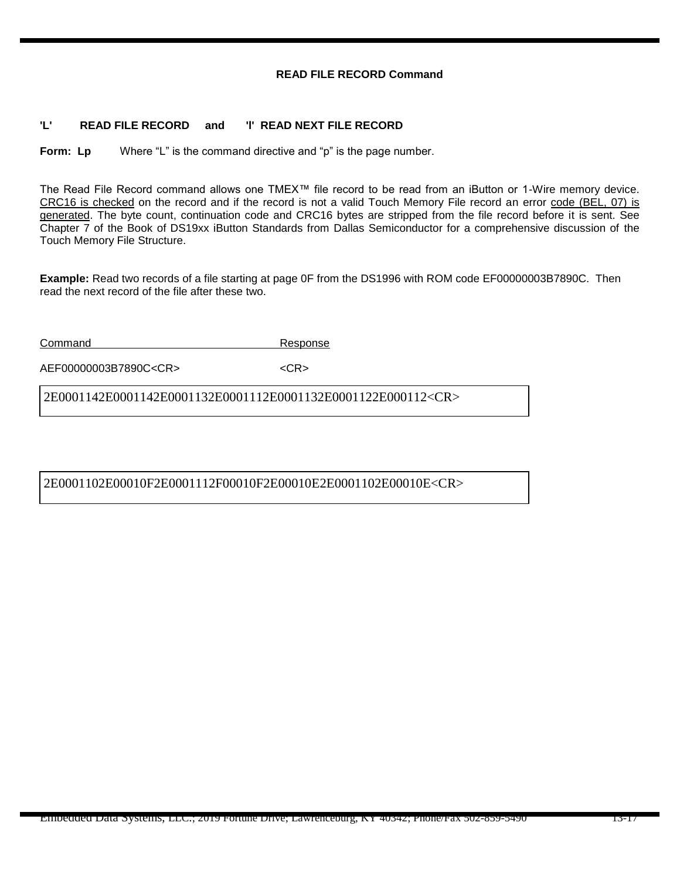#### **READ FILE RECORD Command**

#### **'L' READ FILE RECORD and 'l' READ NEXT FILE RECORD**

**Form:** Lp Where "L" is the command directive and "p" is the page number.

The Read File Record command allows one TMEX™ file record to be read from an iButton or 1-Wire memory device. CRC16 is checked on the record and if the record is not a valid Touch Memory File record an error code (BEL, 07) is generated. The byte count, continuation code and CRC16 bytes are stripped from the file record before it is sent. See Chapter 7 of the Book of DS19xx iButton Standards from Dallas Semiconductor for a comprehensive discussion of the Touch Memory File Structure.

**Example:** Read two records of a file starting at page 0F from the DS1996 with ROM code EF00000003B7890C. Then read the next record of the file after these two.

Command Response

AEF00000003B7890C<CR> <CR>

2E0001142E0001142E0001132E0001112E0001132E0001122E000112<CR>

#### 2E0001102E00010F2E0001112F00010F2E00010E2E0001102E00010E<CR>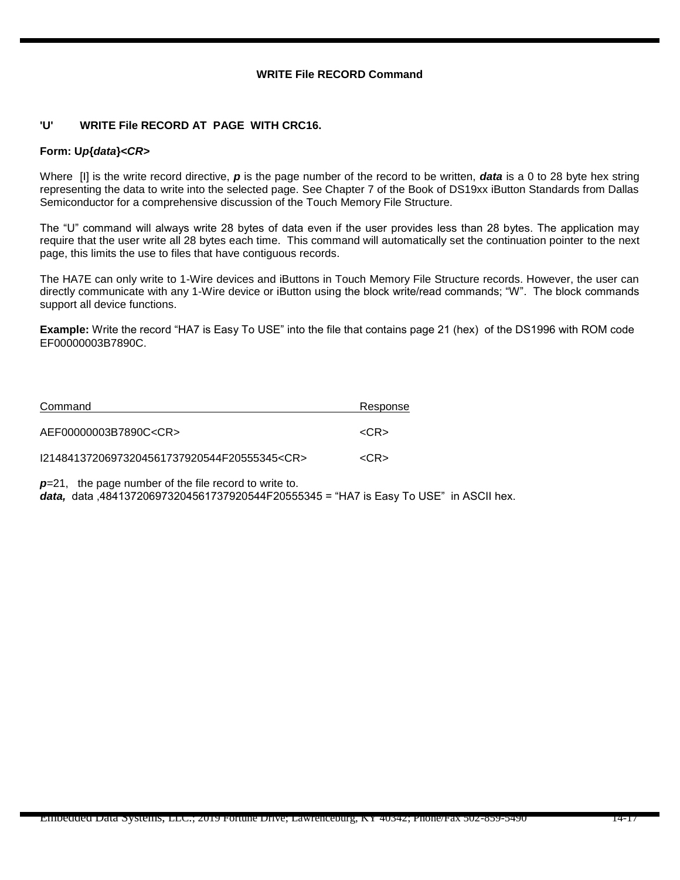#### **WRITE File RECORD Command**

#### **'U' WRITE File RECORD AT PAGE WITH CRC16.**

#### **Form: U***p***{***data***}***<CR>*

Where [I] is the write record directive, **p** is the page number of the record to be written, **data** is a 0 to 28 byte hex string representing the data to write into the selected page. See Chapter 7 of the Book of DS19xx iButton Standards from Dallas Semiconductor for a comprehensive discussion of the Touch Memory File Structure.

The "U" command will always write 28 bytes of data even if the user provides less than 28 bytes. The application may require that the user write all 28 bytes each time. This command will automatically set the continuation pointer to the next page, this limits the use to files that have contiguous records.

The HA7E can only write to 1-Wire devices and iButtons in Touch Memory File Structure records. However, the user can directly communicate with any 1-Wire device or iButton using the block write/read commands; "W". The block commands support all device functions.

**Example:** Write the record "HA7 is Easy To USE" into the file that contains page 21 (hex) of the DS1996 with ROM code EF00000003B7890C.

| Command                                           | Response   |
|---------------------------------------------------|------------|
| AEF00000003B7890C <cr></cr>                       | $<$ CR $>$ |
| I21484137206973204561737920544F20555345 <cr></cr> | $<$ CR $>$ |

*p*=21, the page number of the file record to write to.

*data,* data ,484137206973204561737920544F20555345 = "HA7 is Easy To USE" in ASCII hex.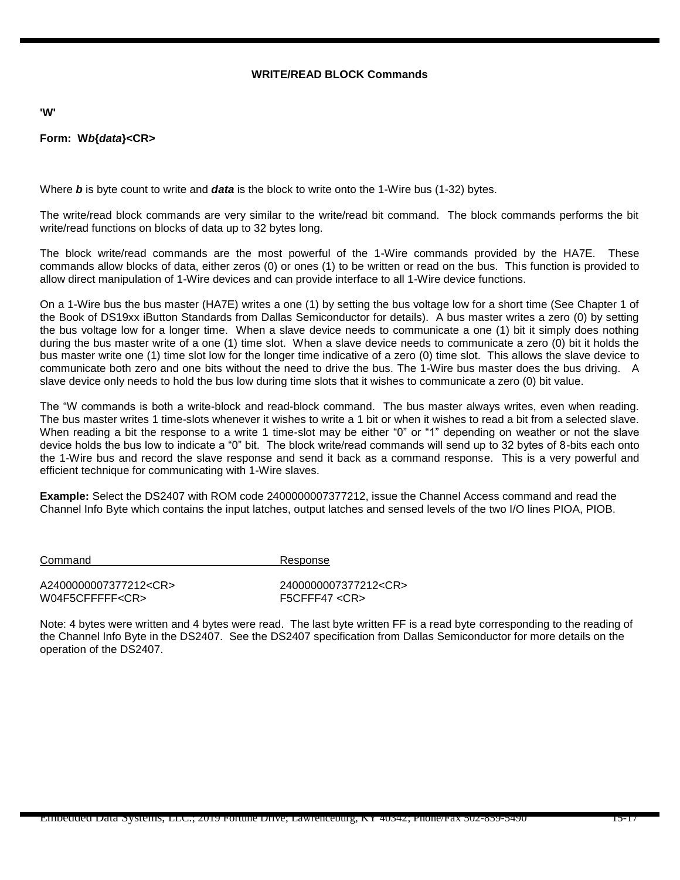#### **WRITE/READ BLOCK Commands**

**'W'** 

#### **Form: W***b***{***data***}<CR>**

Where *b* is byte count to write and *data* is the block to write onto the 1-Wire bus (1-32) bytes.

The write/read block commands are very similar to the write/read bit command. The block commands performs the bit write/read functions on blocks of data up to 32 bytes long.

The block write/read commands are the most powerful of the 1-Wire commands provided by the HA7E. These commands allow blocks of data, either zeros (0) or ones (1) to be written or read on the bus. This function is provided to allow direct manipulation of 1-Wire devices and can provide interface to all 1-Wire device functions.

On a 1-Wire bus the bus master (HA7E) writes a one (1) by setting the bus voltage low for a short time (See Chapter 1 of the Book of DS19xx iButton Standards from Dallas Semiconductor for details). A bus master writes a zero (0) by setting the bus voltage low for a longer time. When a slave device needs to communicate a one (1) bit it simply does nothing during the bus master write of a one (1) time slot. When a slave device needs to communicate a zero (0) bit it holds the bus master write one (1) time slot low for the longer time indicative of a zero (0) time slot. This allows the slave device to communicate both zero and one bits without the need to drive the bus. The 1-Wire bus master does the bus driving. A slave device only needs to hold the bus low during time slots that it wishes to communicate a zero (0) bit value.

The "W commands is both a write-block and read-block command. The bus master always writes, even when reading. The bus master writes 1 time-slots whenever it wishes to write a 1 bit or when it wishes to read a bit from a selected slave. When reading a bit the response to a write 1 time-slot may be either "0" or "1" depending on weather or not the slave device holds the bus low to indicate a "0" bit. The block write/read commands will send up to 32 bytes of 8-bits each onto the 1-Wire bus and record the slave response and send it back as a command response. This is a very powerful and efficient technique for communicating with 1-Wire slaves.

**Example:** Select the DS2407 with ROM code 2400000007377212, issue the Channel Access command and read the Channel Info Byte which contains the input latches, output latches and sensed levels of the two I/O lines PIOA, PIOB.

Command Response

A2400000007377212<CR> 2400000007377212<CR> W04F5CFFFFF<CR> F5CFFF47 <CR>

Note: 4 bytes were written and 4 bytes were read. The last byte written FF is a read byte corresponding to the reading of the Channel Info Byte in the DS2407. See the DS2407 specification from Dallas Semiconductor for more details on the operation of the DS2407.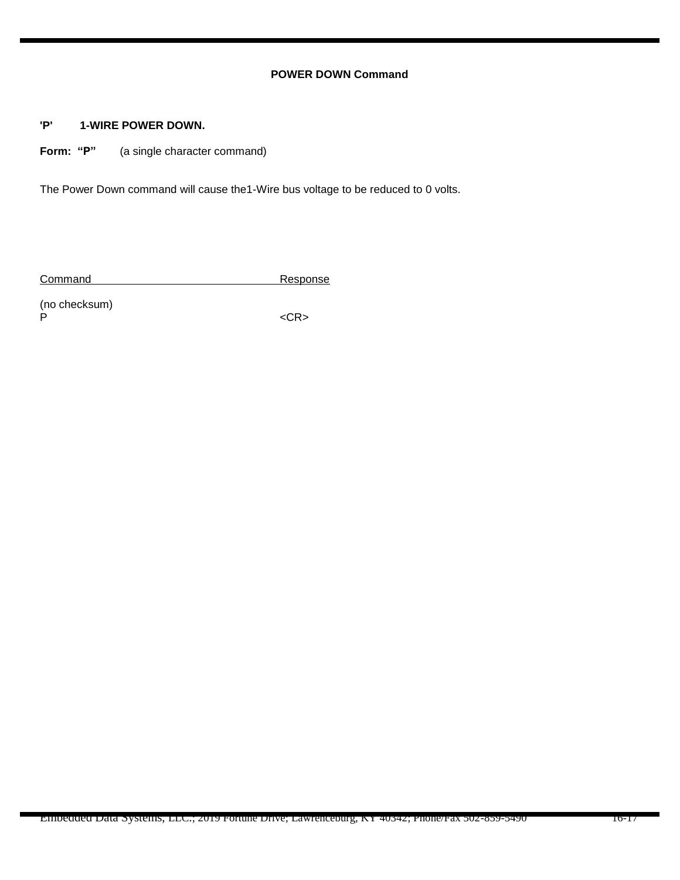#### **POWER DOWN Command**

**'P' 1-WIRE POWER DOWN.**

**Form: "P"** (a single character command)

The Power Down command will cause the1-Wire bus voltage to be reduced to 0 volts.

Command Response

(no checksum) P < CR>